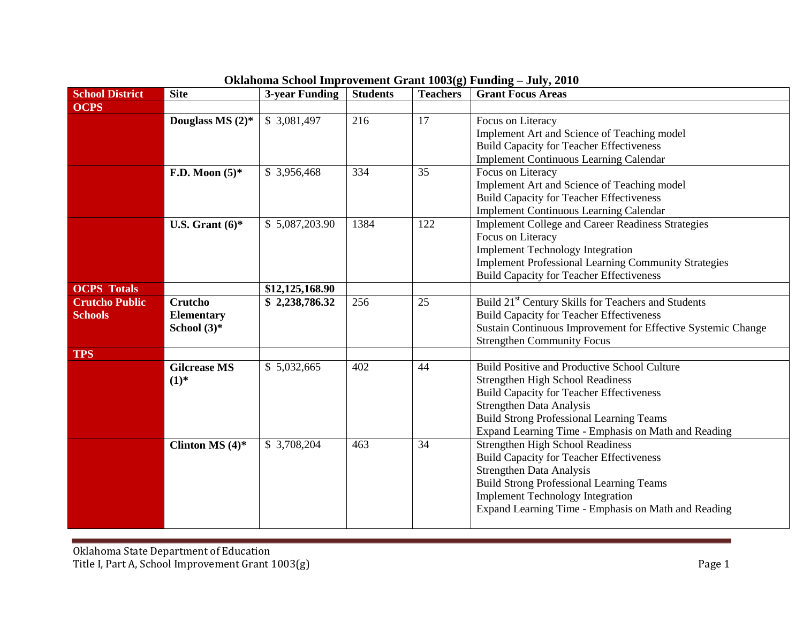| <b>School District</b> | <b>Site</b>         | <b>3-year Funding</b> | <b>Students</b> | <b>Teachers</b> | <b>Grant Focus Areas</b>                                        |
|------------------------|---------------------|-----------------------|-----------------|-----------------|-----------------------------------------------------------------|
| <b>OCPS</b>            |                     |                       |                 |                 |                                                                 |
|                        | Douglass MS $(2)$ * | \$3,081,497           | 216             | 17              | Focus on Literacy                                               |
|                        |                     |                       |                 |                 | Implement Art and Science of Teaching model                     |
|                        |                     |                       |                 |                 | <b>Build Capacity for Teacher Effectiveness</b>                 |
|                        |                     |                       |                 |                 | <b>Implement Continuous Learning Calendar</b>                   |
|                        | F.D. Moon $(5)^*$   | \$3,956,468           | 334             | 35              | Focus on Literacy                                               |
|                        |                     |                       |                 |                 | Implement Art and Science of Teaching model                     |
|                        |                     |                       |                 |                 | <b>Build Capacity for Teacher Effectiveness</b>                 |
|                        |                     |                       |                 |                 | <b>Implement Continuous Learning Calendar</b>                   |
|                        | U.S. Grant $(6)^*$  | \$5,087,203.90        | 1384            | 122             | <b>Implement College and Career Readiness Strategies</b>        |
|                        |                     |                       |                 |                 | Focus on Literacy                                               |
|                        |                     |                       |                 |                 | <b>Implement Technology Integration</b>                         |
|                        |                     |                       |                 |                 | <b>Implement Professional Learning Community Strategies</b>     |
|                        |                     |                       |                 |                 | <b>Build Capacity for Teacher Effectiveness</b>                 |
| <b>OCPS</b> Totals     |                     | \$12,125,168.90       |                 |                 |                                                                 |
| <b>Crutcho Public</b>  | Crutcho             | \$2,238,786.32        | 256             | 25              | Build 21 <sup>st</sup> Century Skills for Teachers and Students |
| <b>Schools</b>         | <b>Elementary</b>   |                       |                 |                 | <b>Build Capacity for Teacher Effectiveness</b>                 |
|                        | School $(3)^*$      |                       |                 |                 | Sustain Continuous Improvement for Effective Systemic Change    |
|                        |                     |                       |                 |                 | <b>Strengthen Community Focus</b>                               |
| <b>TPS</b>             |                     |                       |                 |                 |                                                                 |
|                        | <b>Gilcrease MS</b> | \$5,032,665           | 402             | 44              | <b>Build Positive and Productive School Culture</b>             |
|                        | $(1)^*$             |                       |                 |                 | <b>Strengthen High School Readiness</b>                         |
|                        |                     |                       |                 |                 | <b>Build Capacity for Teacher Effectiveness</b>                 |
|                        |                     |                       |                 |                 | Strengthen Data Analysis                                        |
|                        |                     |                       |                 |                 | <b>Build Strong Professional Learning Teams</b>                 |
|                        |                     |                       |                 |                 | Expand Learning Time - Emphasis on Math and Reading             |
|                        | Clinton MS $(4)$ *  | \$3,708,204           | 463             | 34              | <b>Strengthen High School Readiness</b>                         |
|                        |                     |                       |                 |                 | <b>Build Capacity for Teacher Effectiveness</b>                 |
|                        |                     |                       |                 |                 | <b>Strengthen Data Analysis</b>                                 |
|                        |                     |                       |                 |                 | <b>Build Strong Professional Learning Teams</b>                 |
|                        |                     |                       |                 |                 | <b>Implement Technology Integration</b>                         |
|                        |                     |                       |                 |                 | Expand Learning Time - Emphasis on Math and Reading             |
|                        |                     |                       |                 |                 |                                                                 |

and a